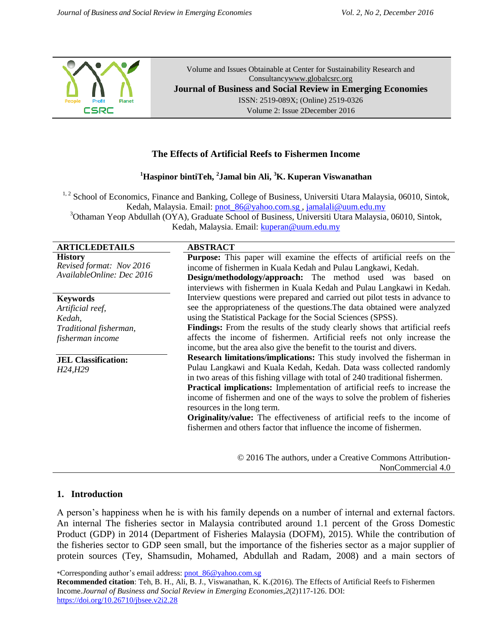

Volume and Issues Obtainable at Center for Sustainability Research and Consultanc[ywww.globalcsrc.org](http://www.globalcsrc.org/) **Journal of Business and Social Review in Emerging Economies** ISSN: 2519-089X; (Online) 2519-0326 Volume 2: Issue 2December 2016

# **The Effects of Artificial Reefs to Fishermen Income**

### **<sup>1</sup>Haspinor bintiTeh, <sup>2</sup> Jamal bin Ali, <sup>3</sup>K. Kuperan Viswanathan**

<sup>1, 2</sup> School of Economics, Finance and Banking, College of Business, Universiti Utara Malaysia, 06010, Sintok, Kedah, Malaysia. Email: [pnot\\_86@yahoo.com.sg ,](mailto:pnot_86@yahoo.com.sg) [jamalali@uum.edu.my](mailto:jamalali@uum.edu.my) <sup>3</sup>Othaman Yeop Abdullah (OYA), Graduate School of Business, Universiti Utara Malaysia, 06010, Sintok,

Kedah, Malaysia. Email: [kuperan@uum.edu.my](mailto:kuperan@uum.edu.my)

| <b>ARTICLEDETAILS</b> |
|-----------------------|
|                       |

**History** *Revised format: Nov 2016 AvailableOnline: Dec 2016*

#### **Keywords**

*Artificial reef, Kedah, Traditional fisherman, fisherman income*

**JEL Classification:** *H24,H29*

### **A RSTRACT**

| ado i ivati                 |                                                                                    |  |  |  |
|-----------------------------|------------------------------------------------------------------------------------|--|--|--|
|                             | <b>Purpose:</b> This paper will examine the effects of artificial reefs on the     |  |  |  |
|                             | income of fishermen in Kuala Kedah and Pulau Langkawi, Kedah.                      |  |  |  |
|                             | <b>Design/methodology/approach:</b> The method used was based on                   |  |  |  |
|                             | interviews with fishermen in Kuala Kedah and Pulau Langkawi in Kedah.              |  |  |  |
|                             | Interview questions were prepared and carried out pilot tests in advance to        |  |  |  |
|                             | see the appropriateness of the questions. The data obtained were analyzed          |  |  |  |
|                             | using the Statistical Package for the Social Sciences (SPSS).                      |  |  |  |
|                             | <b>Findings:</b> From the results of the study clearly shows that artificial reefs |  |  |  |
|                             | affects the income of fishermen. Artificial reefs not only increase the            |  |  |  |
|                             | income, but the area also give the benefit to the tourist and divers.              |  |  |  |
|                             | <b>Research limitations/implications:</b> This study involved the fisherman in     |  |  |  |
|                             | Pulau Langkawi and Kuala Kedah, Kedah. Data wass collected randomly                |  |  |  |
|                             | in two areas of this fishing village with total of 240 traditional fishermen.      |  |  |  |
|                             | <b>Practical implications:</b> Implementation of artificial reefs to increase the  |  |  |  |
|                             | income of fishermen and one of the ways to solve the problem of fisheries          |  |  |  |
| resources in the long term. |                                                                                    |  |  |  |
|                             | <b>Originality/value:</b> The effectiveness of artificial reefs to the income of   |  |  |  |
|                             | fishermen and others factor that influence the income of fishermen.                |  |  |  |
|                             |                                                                                    |  |  |  |
|                             |                                                                                    |  |  |  |

© 2016 The authors, under a Creative Commons Attribution-NonCommercial 4.0

#### **1. Introduction**

A person's happiness when he is with his family depends on a number of internal and external factors. An internal The fisheries sector in Malaysia contributed around 1.1 percent of the Gross Domestic Product (GDP) in 2014 (Department of Fisheries Malaysia (DOFM), 2015). While the contribution of the fisheries sector to GDP seen small, but the importance of the fisheries sector as a major supplier of protein sources (Tey, Shamsudin, Mohamed, Abdullah and Radam, 2008) and a main sectors of

\*Corresponding author's email address: pnot\_86@yahoo.com.sg

**Recommended citation**: Teh, B. H., Ali, B. J., Viswanathan, K. K.(2016). The Effects of Artificial Reefs to Fishermen Income.*Journal of Business and Social Review in Emerging Economies,2*(2)117-126. DOI: https://doi.org/10.26710/jbsee.v2i2.28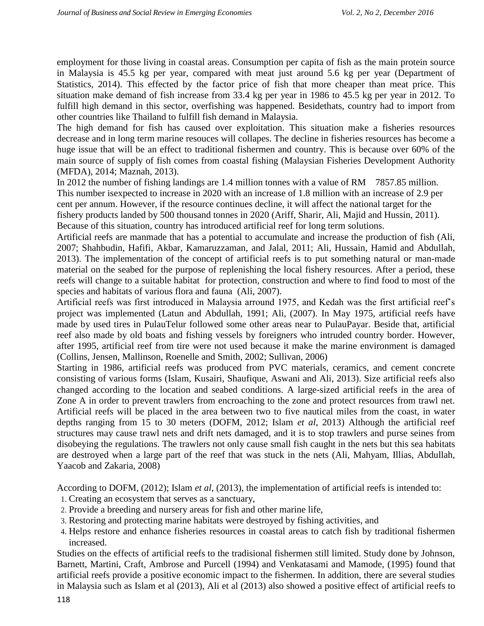employment for those living in coastal areas. Consumption per capita of fish as the main protein source in Malaysia is 45.5 kg per year, compared with meat just around 5.6 kg per year (Department of Statistics, 2014). This effected by the factor price of fish that more cheaper than meat price. This situation make demand of fish increase from 33.4 kg per year in 1986 to 45.5 kg per year in 2012. To fulfill high demand in this sector, overfishing was happened. Besidethats, country had to import from other countries like Thailand to fulfill fish demand in Malaysia.

The high demand for fish has caused over exploitation. This situation make a fisheries resources decrease and in long term marine resouces will collapes. The decline in fisheries resources has become a huge issue that will be an effect to traditional fishermen and country. This is because over 60% of the main source of supply of fish comes from coastal fishing (Malaysian Fisheries Development Authority (MFDA), 2014; Maznah, 2013).

In 2012 the number of fishing landings are 1.4 million tonnes with a value of RM 7857.85 million. This number isexpected to increase in 2020 with an increase of 1.8 million with an increase of 2.9 per cent per annum. However, if the resource continues decline, it will affect the national target for the fishery products landed by 500 thousand tonnes in 2020 (Ariff, Sharir, Ali, Majid and Hussin, 2011). Because of this situation, country has introduced artificial reef for long term solutions.

Artificial reefs are manmade that has a potential to accumulate and increase the production of fish (Ali, 2007; Shahbudin, Hafifi, Akbar, Kamaruzzaman, and Jalal, 2011; Ali, Hussain, Hamid and Abdullah, 2013). The implementation of the concept of artificial reefs is to put something natural or man-made material on the seabed for the purpose of replenishing the local fishery resources. After a period, these reefs will change to a suitable habitat for protection, construction and where to find food to most of the species and habitats of various flora and fauna (Ali, 2007).

Artificial reefs was first introduced in Malaysia arround 1975, and Kedah was the first artificial reef's project was implemented (Latun and Abdullah, 1991; Ali, (2007). In May 1975, artificial reefs have made by used tires in PulauTelur followed some other areas near to PulauPayar. Beside that, artificial reef also made by old boats and fishing vessels by foreigners who intruded country border. However, after 1995, artificial reef from tire were not used because it make the marine environment is damaged (Collins, Jensen, Mallinson, Roenelle and Smith, 2002; Sullivan, 2006)

Starting in 1986, artificial reefs was produced from PVC materials, ceramics, and cement concrete consisting of various forms (Islam, Kusairi, Shaufique, Aswani and Ali, 2013). Size artificial reefs also changed according to the location and seabed conditions. A large-sized artificial reefs in the area of Zone A in order to prevent trawlers from encroaching to the zone and protect resources from trawl net. Artificial reefs will be placed in the area between two to five nautical miles from the coast, in water depths ranging from 15 to 30 meters (DOFM, 2012; Islam *et al*, 2013) Although the artificial reef structures may cause trawl nets and drift nets damaged, and it is to stop trawlers and purse seines from disobeying the regulations. The trawlers not only cause small fish caught in the nets but this sea habitats are destroyed when a large part of the reef that was stuck in the nets (Ali, Mahyam, Illias, Abdullah, Yaacob and Zakaria, 2008)

According to DOFM, (2012); Islam *et al*, (2013), the implementation of artificial reefs is intended to:

- 1. Creating an ecosystem that serves as a sanctuary,
- 2. Provide a breeding and nursery areas for fish and other marine life,
- 3. Restoring and protecting marine habitats were destroyed by fishing activities, and
- 4. Helps restore and enhance fisheries resources in coastal areas to catch fish by traditional fishermen increased.

Studies on the effects of artificial reefs to the tradisional fishermen still limited. Study done by Johnson, Barnett, Martini, Craft, Ambrose and Purcell (1994) and Venkatasami and Mamode, (1995) found that artificial reefs provide a positive economic impact to the fishermen. In addition, there are several studies in Malaysia such as Islam et al (2013), Ali et al (2013) also showed a positive effect of artificial reefs to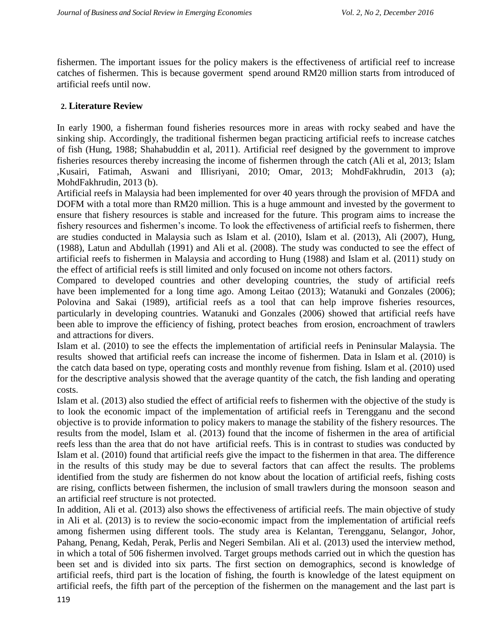fishermen. The important issues for the policy makers is the effectiveness of artificial reef to increase catches of fishermen. This is because goverment spend around RM20 million starts from introduced of artificial reefs until now.

## **2. Literature Review**

In early 1900, a fisherman found fisheries resources more in areas with rocky seabed and have the sinking ship. Accordingly, the traditional fishermen began practicing artificial reefs to increase catches of fish (Hung, 1988; Shahabuddin et al, 2011). Artificial reef designed by the government to improve fisheries resources thereby increasing the income of fishermen through the catch (Ali et al, 2013; Islam ,Kusairi, Fatimah, Aswani and Illisriyani, 2010; Omar, 2013; MohdFakhrudin, 2013 (a); MohdFakhrudin, 2013 (b).

Artificial reefs in Malaysia had been implemented for over 40 years through the provision of MFDA and DOFM with a total more than RM20 million. This is a huge ammount and invested by the goverment to ensure that fishery resources is stable and increased for the future. This program aims to increase the fishery resources and fishermen's income. To look the effectiveness of artificial reefs to fishermen, there are studies conducted in Malaysia such as Islam et al. (2010), Islam et al. (2013), Ali (2007), Hung, (1988), Latun and Abdullah (1991) and Ali et al. (2008). The study was conducted to see the effect of artificial reefs to fishermen in Malaysia and according to Hung (1988) and Islam et al. (2011) study on the effect of artificial reefs is still limited and only focused on income not others factors.

Compared to developed countries and other developing countries, the study of artificial reefs have been implemented for a long time ago. Among Leitao (2013); Watanuki and Gonzales (2006); Polovina and Sakai (1989), artificial reefs as a tool that can help improve fisheries resources, particularly in developing countries. Watanuki and Gonzales (2006) showed that artificial reefs have been able to improve the efficiency of fishing, protect beaches from erosion, encroachment of trawlers and attractions for divers.

Islam et al. (2010) to see the effects the implementation of artificial reefs in Peninsular Malaysia. The results showed that artificial reefs can increase the income of fishermen. Data in Islam et al. (2010) is the catch data based on type, operating costs and monthly revenue from fishing. Islam et al. (2010) used for the descriptive analysis showed that the average quantity of the catch, the fish landing and operating costs.

Islam et al. (2013) also studied the effect of artificial reefs to fishermen with the objective of the study is to look the economic impact of the implementation of artificial reefs in Terengganu and the second objective is to provide information to policy makers to manage the stability of the fishery resources. The results from the model, Islam et al. (2013) found that the income of fishermen in the area of artificial reefs less than the area that do not have artificial reefs. This is in contrast to studies was conducted by Islam et al. (2010) found that artificial reefs give the impact to the fishermen in that area. The difference in the results of this study may be due to several factors that can affect the results. The problems identified from the study are fishermen do not know about the location of artificial reefs, fishing costs are rising, conflicts between fishermen, the inclusion of small trawlers during the monsoon season and an artificial reef structure is not protected.

In addition, Ali et al. (2013) also shows the effectiveness of artificial reefs. The main objective of study in Ali et al. (2013) is to review the socio-economic impact from the implementation of artificial reefs among fishermen using different tools. The study area is Kelantan, Terengganu, Selangor, Johor, Pahang, Penang, Kedah, Perak, Perlis and Negeri Sembilan. Ali et al. (2013) used the interview method, in which a total of 506 fishermen involved. Target groups methods carried out in which the question has been set and is divided into six parts. The first section on demographics, second is knowledge of artificial reefs, third part is the location of fishing, the fourth is knowledge of the latest equipment on artificial reefs, the fifth part of the perception of the fishermen on the management and the last part is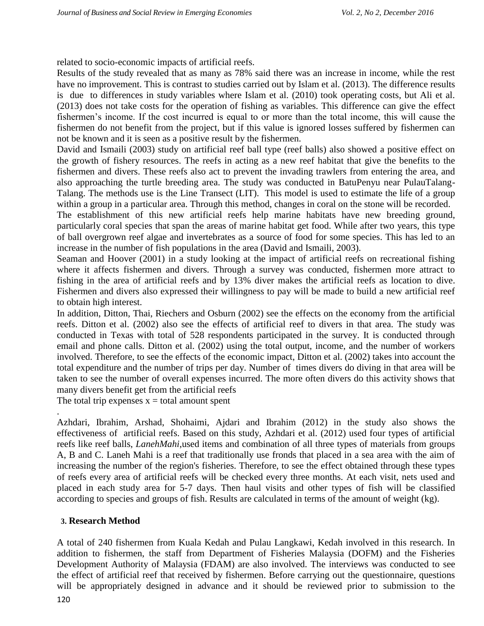related to socio-economic impacts of artificial reefs.

Results of the study revealed that as many as 78% said there was an increase in income, while the rest have no improvement. This is contrast to studies carried out by Islam et al. (2013). The difference results is due to differences in study variables where Islam et al. (2010) took operating costs, but Ali et al. (2013) does not take costs for the operation of fishing as variables. This difference can give the effect fishermen's income. If the cost incurred is equal to or more than the total income, this will cause the fishermen do not benefit from the project, but if this value is ignored losses suffered by fishermen can not be known and it is seen as a positive result by the fishermen.

David and Ismaili (2003) study on artificial reef ball type (reef balls) also showed a positive effect on the growth of fishery resources. The reefs in acting as a new reef habitat that give the benefits to the fishermen and divers. These reefs also act to prevent the invading trawlers from entering the area, and also approaching the turtle breeding area. The study was conducted in BatuPenyu near PulauTalang-Talang. The methods use is the Line Transect (LIT). This model is used to estimate the life of a group within a group in a particular area. Through this method, changes in coral on the stone will be recorded.

The establishment of this new artificial reefs help marine habitats have new breeding ground, particularly coral species that span the areas of marine habitat get food. While after two years, this type of ball overgrown reef algae and invertebrates as a source of food for some species. This has led to an increase in the number of fish populations in the area (David and Ismaili, 2003).

Seaman and Hoover (2001) in a study looking at the impact of artificial reefs on recreational fishing where it affects fishermen and divers. Through a survey was conducted, fishermen more attract to fishing in the area of artificial reefs and by 13% diver makes the artificial reefs as location to dive. Fishermen and divers also expressed their willingness to pay will be made to build a new artificial reef to obtain high interest.

In addition, Ditton, Thai, Riechers and Osburn (2002) see the effects on the economy from the artificial reefs. Ditton et al. (2002) also see the effects of artificial reef to divers in that area. The study was conducted in Texas with total of 528 respondents participated in the survey. It is conducted through email and phone calls. Ditton et al. (2002) using the total output, income, and the number of workers involved. Therefore, to see the effects of the economic impact, Ditton et al. (2002) takes into account the total expenditure and the number of trips per day. Number of times divers do diving in that area will be taken to see the number of overall expenses incurred. The more often divers do this activity shows that many divers benefit get from the artificial reefs

The total trip expenses  $x =$  total amount spent

Azhdari, Ibrahim, Arshad, Shohaimi, Ajdari and Ibrahim (2012) in the study also shows the effectiveness of artificial reefs. Based on this study, Azhdari et al. (2012) used four types of artificial reefs like reef balls, *LanehMahi*,used items and combination of all three types of materials from groups A, B and C. Laneh Mahi is a reef that traditionally use fronds that placed in a sea area with the aim of increasing the number of the region's fisheries. Therefore, to see the effect obtained through these types of reefs every area of artificial reefs will be checked every three months. At each visit, nets used and placed in each study area for 5-7 days. Then haul visits and other types of fish will be classified according to species and groups of fish. Results are calculated in terms of the amount of weight (kg).

# **3. Research Method**

.

120 A total of 240 fishermen from Kuala Kedah and Pulau Langkawi, Kedah involved in this research. In addition to fishermen, the staff from Department of Fisheries Malaysia (DOFM) and the Fisheries Development Authority of Malaysia (FDAM) are also involved. The interviews was conducted to see the effect of artificial reef that received by fishermen. Before carrying out the questionnaire, questions will be appropriately designed in advance and it should be reviewed prior to submission to the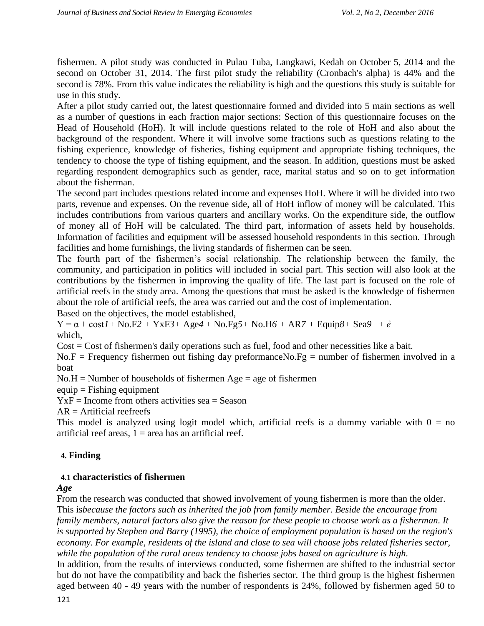fishermen. A pilot study was conducted in Pulau Tuba, Langkawi, Kedah on October 5, 2014 and the second on October 31, 2014. The first pilot study the reliability (Cronbach's alpha) is 44% and the second is 78%. From this value indicates the reliability is high and the questions this study is suitable for use in this study.

After a pilot study carried out, the latest questionnaire formed and divided into 5 main sections as well as a number of questions in each fraction major sections: Section of this questionnaire focuses on the Head of Household (HoH). It will include questions related to the role of HoH and also about the background of the respondent. Where it will involve some fractions such as questions relating to the fishing experience, knowledge of fisheries, fishing equipment and appropriate fishing techniques, the tendency to choose the type of fishing equipment, and the season. In addition, questions must be asked regarding respondent demographics such as gender, race, marital status and so on to get information about the fisherman.

The second part includes questions related income and expenses HoH. Where it will be divided into two parts, revenue and expenses. On the revenue side, all of HoH inflow of money will be calculated. This includes contributions from various quarters and ancillary works. On the expenditure side, the outflow of money all of HoH will be calculated. The third part, information of assets held by households. Information of facilities and equipment will be assessed household respondents in this section. Through facilities and home furnishings, the living standards of fishermen can be seen.

The fourth part of the fishermen's social relationship. The relationship between the family, the community, and participation in politics will included in social part. This section will also look at the contributions by the fishermen in improving the quality of life. The last part is focused on the role of artificial reefs in the study area. Among the questions that must be asked is the knowledge of fishermen about the role of artificial reefs, the area was carried out and the cost of implementation.

Based on the objectives, the model established,

Y = α + cost*1+* No.F*2 +* YxF*3+* Age*4* + No.Fg*5+* No.H*6 +* AR*7 +* Equip*8+* Sea*9* + *ẻ* which,

Cost = Cost of fishermen's daily operations such as fuel, food and other necessities like a bait.

 $No.F = Frequency$  fishermen out fishing day preformance $No.Fg =$  number of fishermen involved in a boat

 $No.H =$  Number of households of fishermen  $Age = age$  of fishermen

 $equip = Fishing equivalent$ 

 $YxF = Income from others activities sea = Season$ 

 $AR =$ Artificial reefreefs

This model is analyzed using logit model which, artificial reefs is a dummy variable with  $0 = no$ artificial reef areas,  $1 = \text{area}$  has an artificial reef.

### **4. Finding**

### **4.1 characteristics of fishermen**

#### *Age*

From the research was conducted that showed involvement of young fishermen is more than the older. This is*because the factors such as inherited the job from family member. Beside the encourage from family members, natural factors also give the reason for these people to choose work as a fisherman. It is supported by Stephen and Barry (1995), the choice of employment population is based on the region's economy. For example, residents of the island and close to sea will choose jobs related fisheries sector, while the population of the rural areas tendency to choose jobs based on agriculture is high.*

In addition, from the results of interviews conducted, some fishermen are shifted to the industrial sector but do not have the compatibility and back the fisheries sector. The third group is the highest fishermen aged between 40 - 49 years with the number of respondents is 24%, followed by fishermen aged 50 to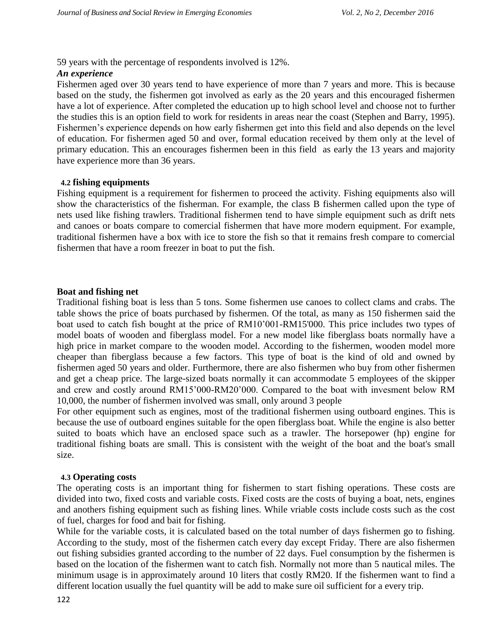59 years with the percentage of respondents involved is 12%.

### *An experience*

Fishermen aged over 30 years tend to have experience of more than 7 years and more. This is because based on the study, the fishermen got involved as early as the 20 years and this encouraged fishermen have a lot of experience. After completed the education up to high school level and choose not to further the studies this is an option field to work for residents in areas near the coast (Stephen and Barry, 1995). Fishermen's experience depends on how early fishermen get into this field and also depends on the level of education. For fishermen aged 50 and over, formal education received by them only at the level of primary education. This an encourages fishermen been in this field as early the 13 years and majority have experience more than 36 years.

### **4.2 fishing equipments**

Fishing equipment is a requirement for fishermen to proceed the activity. Fishing equipments also will show the characteristics of the fisherman. For example, the class B fishermen called upon the type of nets used like fishing trawlers. Traditional fishermen tend to have simple equipment such as drift nets and canoes or boats compare to comercial fishermen that have more modern equipment. For example, traditional fishermen have a box with ice to store the fish so that it remains fresh compare to comercial fishermen that have a room freezer in boat to put the fish.

### **Boat and fishing net**

Traditional fishing boat is less than 5 tons. Some fishermen use canoes to collect clams and crabs. The table shows the price of boats purchased by fishermen. Of the total, as many as 150 fishermen said the boat used to catch fish bought at the price of RM10'001-RM15'000. This price includes two types of model boats of wooden and fiberglass model. For a new model like fiberglass boats normally have a high price in market compare to the wooden model. According to the fishermen, wooden model more cheaper than fiberglass because a few factors. This type of boat is the kind of old and owned by fishermen aged 50 years and older. Furthermore, there are also fishermen who buy from other fishermen and get a cheap price. The large-sized boats normally it can accommodate 5 employees of the skipper and crew and costly around RM15'000-RM20'000. Compared to the boat with invesment below RM 10,000, the number of fishermen involved was small, only around 3 people

For other equipment such as engines, most of the traditional fishermen using outboard engines. This is because the use of outboard engines suitable for the open fiberglass boat. While the engine is also better suited to boats which have an enclosed space such as a trawler. The horsepower (hp) engine for traditional fishing boats are small. This is consistent with the weight of the boat and the boat's small size.

#### **4.3 Operating costs**

The operating costs is an important thing for fishermen to start fishing operations. These costs are divided into two, fixed costs and variable costs. Fixed costs are the costs of buying a boat, nets, engines and anothers fishing equipment such as fishing lines. While vriable costs include costs such as the cost of fuel, charges for food and bait for fishing.

While for the variable costs, it is calculated based on the total number of days fishermen go to fishing. According to the study, most of the fishermen catch every day except Friday. There are also fishermen out fishing subsidies granted according to the number of 22 days. Fuel consumption by the fishermen is based on the location of the fishermen want to catch fish. Normally not more than 5 nautical miles. The minimum usage is in approximately around 10 liters that costly RM20. If the fishermen want to find a different location usually the fuel quantity will be add to make sure oil sufficient for a every trip.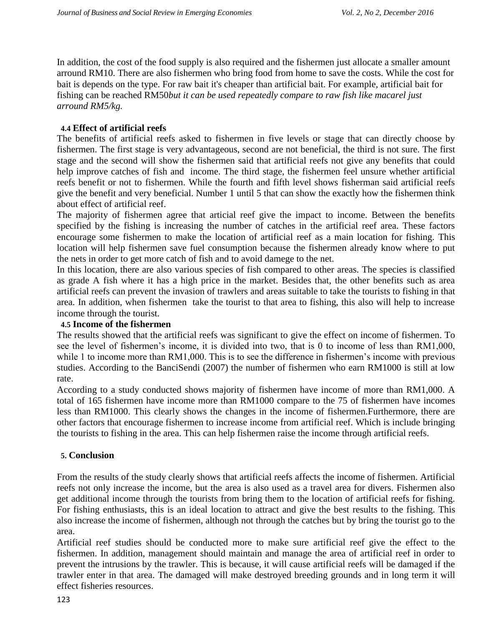In addition, the cost of the food supply is also required and the fishermen just allocate a smaller amount arround RM10. There are also fishermen who bring food from home to save the costs. While the cost for bait is depends on the type. For raw bait it's cheaper than artificial bait. For example, artificial bait for fishing can be reached RM50*but it can be used repeatedly compare to raw fish like macarel just arround RM5/kg.*

## **4.4 Effect of artificial reefs**

The benefits of artificial reefs asked to fishermen in five levels or stage that can directly choose by fishermen. The first stage is very advantageous, second are not beneficial, the third is not sure. The first stage and the second will show the fishermen said that artificial reefs not give any benefits that could help improve catches of fish and income. The third stage, the fishermen feel unsure whether artificial reefs benefit or not to fishermen. While the fourth and fifth level shows fisherman said artificial reefs give the benefit and very beneficial. Number 1 until 5 that can show the exactly how the fishermen think about effect of artificial reef.

The majority of fishermen agree that articial reef give the impact to income. Between the benefits specified by the fishing is increasing the number of catches in the artificial reef area. These factors encourage some fishermen to make the location of artificial reef as a main location for fishing. This location will help fishermen save fuel consumption because the fishermen already know where to put the nets in order to get more catch of fish and to avoid damege to the net.

In this location, there are also various species of fish compared to other areas. The species is classified as grade A fish where it has a high price in the market. Besides that, the other benefits such as area artificial reefs can prevent the invasion of trawlers and areas suitable to take the tourists to fishing in that area. In addition, when fishermen take the tourist to that area to fishing, this also will help to increase income through the tourist.

#### **4.5 Income of the fishermen**

The results showed that the artificial reefs was significant to give the effect on income of fishermen. To see the level of fishermen's income, it is divided into two, that is 0 to income of less than RM1,000, while 1 to income more than RM1,000. This is to see the difference in fishermen's income with previous studies. According to the BanciSendi (2007) the number of fishermen who earn RM1000 is still at low rate.

According to a study conducted shows majority of fishermen have income of more than RM1,000. A total of 165 fishermen have income more than RM1000 compare to the 75 of fishermen have incomes less than RM1000. This clearly shows the changes in the income of fishermen.Furthermore, there are other factors that encourage fishermen to increase income from artificial reef. Which is include bringing the tourists to fishing in the area. This can help fishermen raise the income through artificial reefs.

### **5. Conclusion**

From the results of the study clearly shows that artificial reefs affects the income of fishermen. Artificial reefs not only increase the income, but the area is also used as a travel area for divers. Fishermen also get additional income through the tourists from bring them to the location of artificial reefs for fishing. For fishing enthusiasts, this is an ideal location to attract and give the best results to the fishing. This also increase the income of fishermen, although not through the catches but by bring the tourist go to the area.

Artificial reef studies should be conducted more to make sure artificial reef give the effect to the fishermen. In addition, management should maintain and manage the area of artificial reef in order to prevent the intrusions by the trawler. This is because, it will cause artificial reefs will be damaged if the trawler enter in that area. The damaged will make destroyed breeding grounds and in long term it will effect fisheries resources.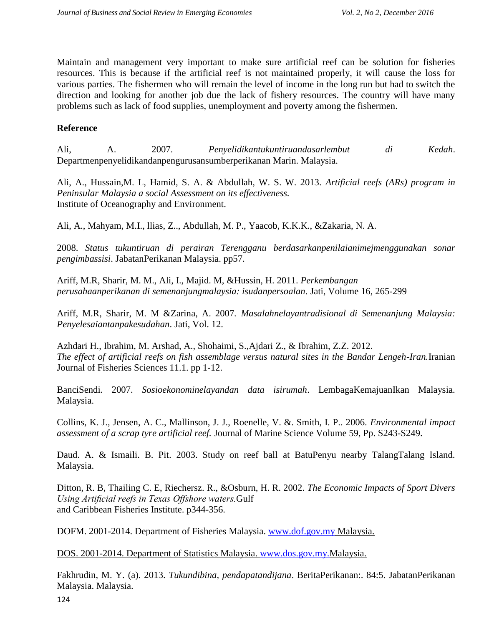Maintain and management very important to make sure artificial reef can be solution for fisheries resources. This is because if the artificial reef is not maintained properly, it will cause the loss for various parties. The fishermen who will remain the level of income in the long run but had to switch the direction and looking for another job due the lack of fishery resources. The country will have many problems such as lack of food supplies, unemployment and poverty among the fishermen.

## **Reference**

Ali, A. 2007. *Penyelidikantukuntiruandasarlembut di Kedah*. Departmenpenyelidikandanpengurusansumberperikanan Marin. Malaysia.

Ali, A., Hussain,M. L, Hamid, S. A. & Abdullah, W. S. W. 2013. *Artificial reefs (ARs) program in Peninsular Malaysia a social Assessment on its effectiveness.* Institute of Oceanography and Environment.

Ali, A., Mahyam, M.I., llias, Z.., Abdullah, M. P., Yaacob, K.K.K., &Zakaria, N. A.

2008. *Status tukuntiruan di perairan Terengganu berdasarkanpenilaianimejmenggunakan sonar pengimbassisi*. JabatanPerikanan Malaysia. pp57.

Ariff, M.R, Sharir, M. M., Ali, I., Majid. M, &Hussin, H. 2011. *Perkembangan perusahaanperikanan di semenanjungmalaysia: isudanpersoalan*. Jati, Volume 16, 265-299

Ariff, M.R, Sharir, M. M &Zarina, A. 2007*. Masalahnelayantradisional di Semenanjung Malaysia: Penyelesaiantanpakesudahan*. Jati, Vol. 12.

Azhdari H., Ibrahim, M. Arshad, A., Shohaimi, S.,Ajdari Z., & Ibrahim, Z.Z. 2012. *The effect of artificial reefs on fish assemblage versus natural sites in the Bandar Lengeh-Iran.*Iranian Journal of Fisheries Sciences 11.1. pp 1-12.

BanciSendi. 2007. *Sosioekonominelayandan data isirumah*. LembagaKemajuanIkan Malaysia. Malaysia.

Collins, K. J., Jensen, A. C., Mallinson, J. J., Roenelle, V. &. Smith, I. P.. 2006. *Environmental impact assessment of a scrap tyre artificial reef.* Journal of Marine Science Volume 59, Pp. S243-S249.

Daud. A. & Ismaili. B. Pit. 2003. Study on reef ball at BatuPenyu nearby TalangTalang Island. Malaysia.

Ditton, R. B, Thailing C. E, Riechersz. R., &Osburn, H. R. 2002. *The Economic Impacts of Sport Divers Using Artificial reefs in Texas Offshore waters.*Gulf and Caribbean Fisheries Institute. p344-356.

DOFM. 2001-2014. Department of Fisheries Malaysia. [www.dof.gov.my](http://www.dof.gov.my/) Malaysia.

DOS. 2001-2014. Department of Statistics Malaysia. [www.dos.gov.my.M](http://www.dos.gov.my/)alaysia.

Fakhrudin, M. Y. (a). 2013. *Tukundibina, pendapatandijana*. BeritaPerikanan:. 84:5. JabatanPerikanan Malaysia. Malaysia.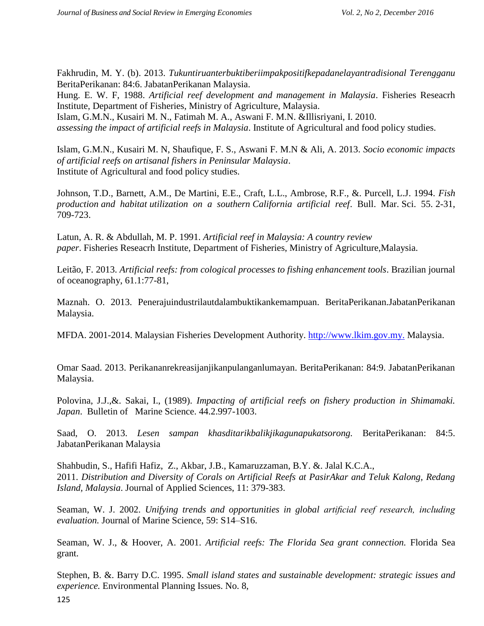Fakhrudin, M. Y. (b). 2013. *Tukuntiruanterbuktiberiimpakpositifkepadanelayantradisional Terengganu*  BeritaPerikanan: 84:6. JabatanPerikanan Malaysia.

Hung. E. W. F, 1988. *Artificial reef development and management in Malaysia*. Fisheries Reseacrh Institute, Department of Fisheries, Ministry of Agriculture, Malaysia.

Islam, G.M.N., Kusairi M. N., Fatimah M. A., Aswani F. M.N. &Illisriyani, I. 2010. *assessing the impact of artificial reefs in Malaysia*. Institute of Agricultural and food policy studies.

Islam, G.M.N., Kusairi M. N, Shaufique, F. S., Aswani F. M.N & Ali, A. 2013. *Socio economic impacts of artificial reefs on artisanal fishers in Peninsular Malaysia*. Institute of Agricultural and food policy studies.

Johnson, T.D., Barnett, A.M., De Martini, E.E., Craft, L.L., Ambrose, R.F., &. Purcell, L.J. 1994*. Fish production and habitat utilization on a southern California artificial reef*. Bull. Mar. Sci. 55. 2-31, 709-723.

Latun, A. R. & Abdullah, M. P. 1991. *Artificial reef in Malaysia: A country review paper*. Fisheries Reseacrh Institute, Department of Fisheries, Ministry of Agriculture,Malaysia.

Leitão, F. 2013. *Artificial reefs: from cological processes to fishing enhancement tools*. Brazilian journal of oceanography, 61.1:77-81,

Maznah. O. 2013. Penerajuindustrilautdalambuktikankemampuan. BeritaPerikanan.JabatanPerikanan Malaysia.

MFDA. 2001-2014. Malaysian Fisheries Development Authority. [http://www.lkim.gov.my.](http://www.lkim.gov.my/) Malaysia.

Omar Saad. 2013. Perikananrekreasijanjikanpulanganlumayan. BeritaPerikanan: 84:9. JabatanPerikanan Malaysia.

Polovina, J.J.,&. Sakai, I., (1989). *Impacting of artificial reefs on fishery production in Shimamaki. Japan*. Bulletin of Marine Science. 44.2.997-1003.

Saad, O. 2013. *Lesen sampan khasditarikbalikjikagunapukatsorong.* BeritaPerikanan: 84:5. JabatanPerikanan Malaysia

Shahbudin, S., Hafifi Hafiz, Z., Akbar, J.B., Kamaruzzaman, B.Y. &. Jalal K.C.A., 2011. *Distribution and Diversity of Corals on Artificial Reefs at PasirAkar and Teluk Kalong, Redang Island, Malaysia*. Journal of Applied Sciences, 11: 379-383.

Seaman, W. J. 2002. *Unifying trends and opportunities in global artificial reef research, including evaluation.* Journal of Marine Science, 59: S14–S16.

Seaman, W. J., & Hoover, A. 2001. *Artificial reefs: The Florida Sea grant connection.* Florida Sea grant.

Stephen, B. &. Barry D.C. 1995. *Small island states and sustainable development: strategic issues and experience.* Environmental Planning Issues. No. 8,